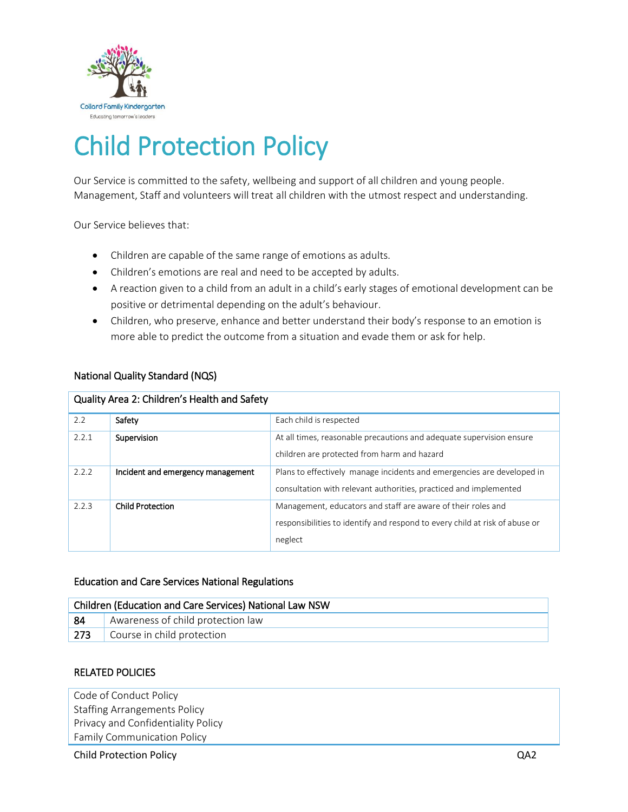

# Child Protection Policy

Our Service is committed to the safety, wellbeing and support of all children and young people. Management, Staff and volunteers will treat all children with the utmost respect and understanding.

Our Service believes that:

- Children are capable of the same range of emotions as adults.
- Children's emotions are real and need to be accepted by adults.
- A reaction given to a child from an adult in a child's early stages of emotional development can be positive or detrimental depending on the adult's behaviour.
- Children, who preserve, enhance and better understand their body's response to an emotion is more able to predict the outcome from a situation and evade them or ask for help.

## National Quality Standard (NQS)

| Quality Area 2: Children's Health and Safety |                                   |                                                                                                                                                        |  |  |
|----------------------------------------------|-----------------------------------|--------------------------------------------------------------------------------------------------------------------------------------------------------|--|--|
| 2.2                                          | Safety                            | Each child is respected                                                                                                                                |  |  |
| 2.2.1                                        | Supervision                       | At all times, reasonable precautions and adequate supervision ensure<br>children are protected from harm and hazard                                    |  |  |
| 2.2.2                                        | Incident and emergency management | Plans to effectively manage incidents and emergencies are developed in<br>consultation with relevant authorities, practiced and implemented            |  |  |
| 2.2.3                                        | <b>Child Protection</b>           | Management, educators and staff are aware of their roles and<br>responsibilities to identify and respond to every child at risk of abuse or<br>neglect |  |  |

## Education and Care Services National Regulations

| Children (Education and Care Services) National Law NSW |                                   |  |  |  |
|---------------------------------------------------------|-----------------------------------|--|--|--|
| 84                                                      | Awareness of child protection law |  |  |  |
| $\sqrt{273}$                                            | Course in child protection        |  |  |  |

## RELATED POLICIES

Code of Conduct Policy Staffing Arrangements Policy Privacy and Confidentiality Policy Family Communication Policy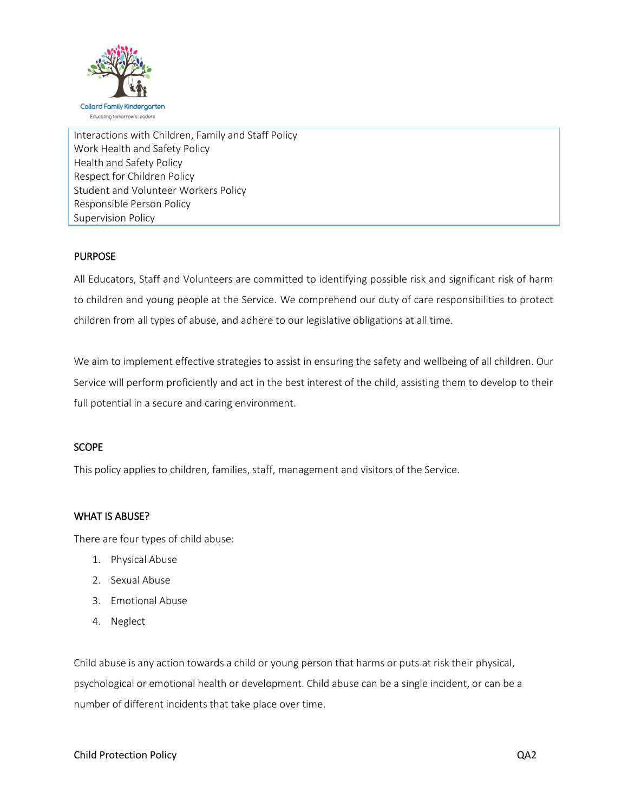

Interactions with Children, Family and Staff Policy Work Health and Safety Policy Health and Safety Policy Respect for Children Policy Student and Volunteer Workers Policy Responsible Person Policy Supervision Policy

# **PURPOSE**

All Educators, Staff and Volunteers are committed to identifying possible risk and significant risk of harm to children and young people at the Service. We comprehend our duty of care responsibilities to protect children from all types of abuse, and adhere to our legislative obligations at all time.

We aim to implement effective strategies to assist in ensuring the safety and wellbeing of all children. Our Service will perform proficiently and act in the best interest of the child, assisting them to develop to their full potential in a secure and caring environment.

## **SCOPE**

This policy applies to children, families, staff, management and visitors of the Service.

## WHAT IS ABUSE?

There are four types of child abuse:

- 1. Physical Abuse
- 2. Sexual Abuse
- 3. Emotional Abuse
- 4. Neglect

Child abuse is any action towards a child or young person that harms or puts at risk their physical, psychological or emotional health or development. Child abuse can be a single incident, or can be a number of different incidents that take place over time.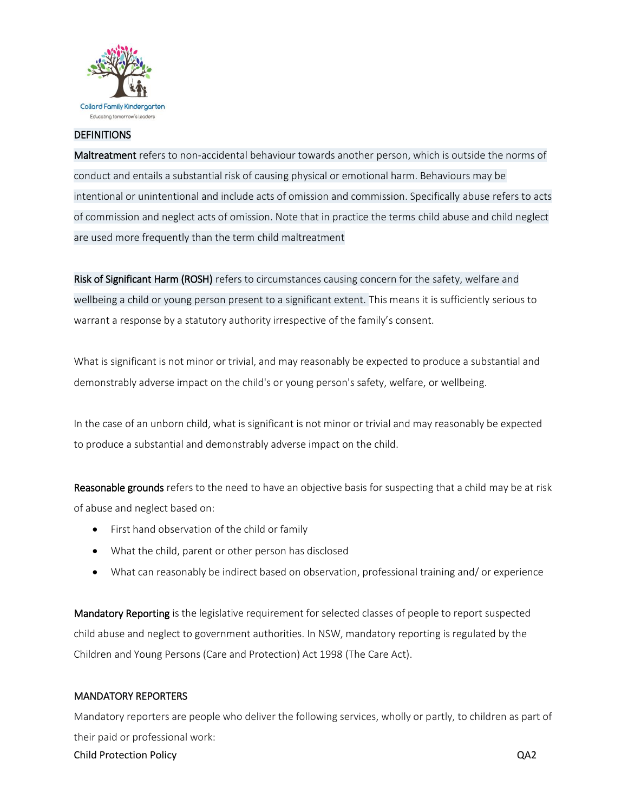

## **DEFINITIONS**

Maltreatment refers to non-accidental behaviour towards another person, which is outside the norms of conduct and entails a substantial risk of causing physical or emotional harm. Behaviours may be intentional or unintentional and include acts of omission and commission. Specifically abuse refers to acts of commission and neglect acts of omission. Note that in practice the terms child abuse and child neglect are used more frequently than the term child maltreatment

Risk of Significant Harm (ROSH) refers to circumstances causing concern for the safety, welfare and wellbeing a child or young person present to a significant extent. This means it is sufficiently serious to warrant a response by a statutory authority irrespective of the family's consent.

What is significant is not minor or trivial, and may reasonably be expected to produce a substantial and demonstrably adverse impact on the child's or young person's safety, welfare, or wellbeing.

In the case of an unborn child, what is significant is not minor or trivial and may reasonably be expected to produce a substantial and demonstrably adverse impact on the child.

Reasonable grounds refers to the need to have an objective basis for suspecting that a child may be at risk of abuse and neglect based on:

- First hand observation of the child or family
- What the child, parent or other person has disclosed
- What can reasonably be indirect based on observation, professional training and/ or experience

Mandatory Reporting is the legislative requirement for selected classes of people to report suspected child abuse and neglect to government authorities. In NSW, mandatory reporting is regulated by the Children and Young Persons (Care and Protection) Act 1998 (The Care Act).

## MANDATORY REPORTERS

Child Protection Policy QA2 Mandatory reporters are people who deliver the following services, wholly or partly, to children as part of their paid or professional work: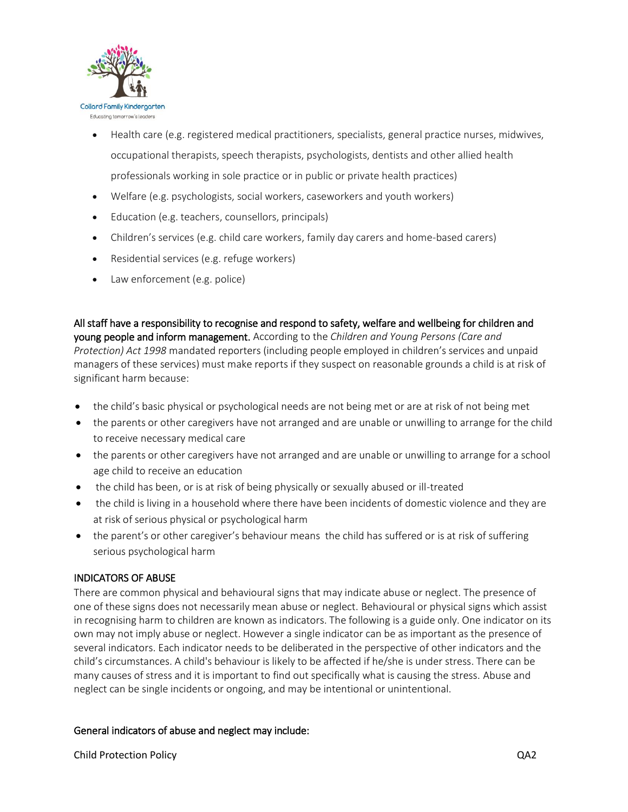

- Health care (e.g. registered medical practitioners, specialists, general practice nurses, midwives, occupational therapists, speech therapists, psychologists, dentists and other allied health professionals working in sole practice or in public or private health practices)
- Welfare (e.g. psychologists, social workers, caseworkers and youth workers)
- Education (e.g. teachers, counsellors, principals)
- Children's services (e.g. child care workers, family day carers and home-based carers)
- Residential services (e.g. refuge workers)
- Law enforcement (e.g. police)

All staff have a responsibility to recognise and respond to safety, welfare and wellbeing for children and young people and inform management. According to the *Children and Young Persons (Care and Protection) Act 1998* mandated reporters (including people employed in children's services and unpaid managers of these services) must make reports if they suspect on reasonable grounds a child is at risk of significant harm because:

- the child's basic physical or psychological needs are not being met or are at risk of not being met
- the parents or other caregivers have not arranged and are unable or unwilling to arrange for the child to receive necessary medical care
- the parents or other caregivers have not arranged and are unable or unwilling to arrange for a school age child to receive an education
- the child has been, or is at risk of being physically or sexually abused or ill-treated
- the child is living in a household where there have been incidents of domestic violence and they are at risk of serious physical or psychological harm
- the parent's or other caregiver's behaviour means the child has suffered or is at risk of suffering serious psychological harm

# INDICATORS OF ABUSE

There are common physical and behavioural signs that may indicate abuse or neglect. The presence of one of these signs does not necessarily mean abuse or neglect. Behavioural or physical signs which assist in recognising harm to children are known as indicators. The following is a guide only. One indicator on its own may not imply abuse or neglect. However a single indicator can be as important as the presence of several indicators. Each indicator needs to be deliberated in the perspective of other indicators and the child's circumstances. A child's behaviour is likely to be affected if he/she is under stress. There can be many causes of stress and it is important to find out specifically what is causing the stress. Abuse and neglect can be single incidents or ongoing, and may be intentional or unintentional.

# General indicators of abuse and neglect may include: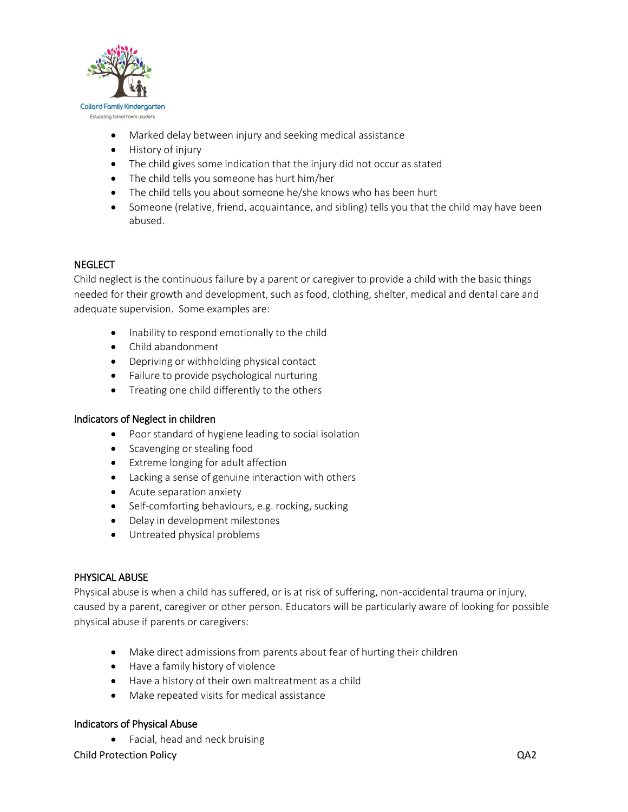

- Marked delay between injury and seeking medical assistance
- History of injury
- The child gives some indication that the injury did not occur as stated
- The child tells you someone has hurt him/her
- The child tells you about someone he/she knows who has been hurt
- Someone (relative, friend, acquaintance, and sibling) tells you that the child may have been abused.

# **NEGLECT**

Child neglect is the continuous failure by a parent or caregiver to provide a child with the basic things needed for their growth and development, such as food, clothing, shelter, medical and dental care and adequate supervision. Some examples are:

- Inability to respond emotionally to the child
- Child abandonment
- Depriving or withholding physical contact
- Failure to provide psychological nurturing
- Treating one child differently to the others

## Indicators of Neglect in children

- Poor standard of hygiene leading to social isolation
- Scavenging or stealing food
- Extreme longing for adult affection
- Lacking a sense of genuine interaction with others
- Acute separation anxiety
- Self-comforting behaviours, e.g. rocking, sucking
- Delay in development milestones
- Untreated physical problems

## PHYSICAL ABUSE

Physical abuse is when a child has suffered, or is at risk of suffering, non-accidental trauma or injury, caused by a parent, caregiver or other person. Educators will be particularly aware of looking for possible physical abuse if parents or caregivers:

- Make direct admissions from parents about fear of hurting their children
- Have a family history of violence
- Have a history of their own maltreatment as a child
- Make repeated visits for medical assistance

## Indicators of Physical Abuse

• Facial, head and neck bruising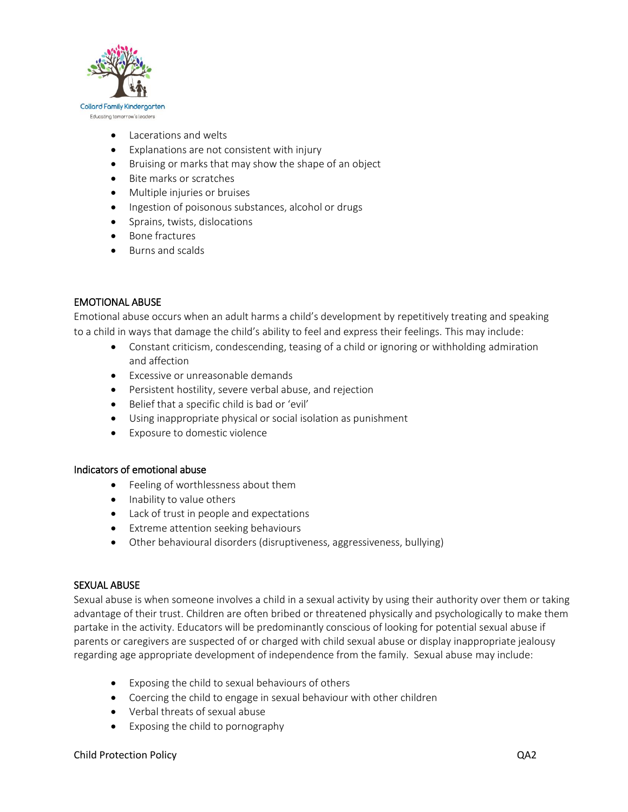

- Lacerations and welts
- Explanations are not consistent with injury
- Bruising or marks that may show the shape of an object
- Bite marks or scratches
- Multiple injuries or bruises
- Ingestion of poisonous substances, alcohol or drugs
- Sprains, twists, dislocations
- Bone fractures
- Burns and scalds

# EMOTIONAL ABUSE

Emotional abuse occurs when an adult harms a child's development by repetitively treating and speaking to a child in ways that damage the child's ability to feel and express their feelings. This may include:

- Constant criticism, condescending, teasing of a child or ignoring or withholding admiration and affection
- Excessive or unreasonable demands
- Persistent hostility, severe verbal abuse, and rejection
- Belief that a specific child is bad or 'evil'
- Using inappropriate physical or social isolation as punishment
- Exposure to domestic violence

## Indicators of emotional abuse

- Feeling of worthlessness about them
- Inability to value others
- Lack of trust in people and expectations
- Extreme attention seeking behaviours
- Other behavioural disorders (disruptiveness, aggressiveness, bullying)

## SEXUAL ABUSE

Sexual abuse is when someone involves a child in a sexual activity by using their authority over them or taking advantage of their trust. Children are often bribed or threatened physically and psychologically to make them partake in the activity. Educators will be predominantly conscious of looking for potential sexual abuse if parents or caregivers are suspected of or charged with child sexual abuse or display inappropriate jealousy regarding age appropriate development of independence from the family. Sexual abuse may include:

- Exposing the child to sexual behaviours of others
- Coercing the child to engage in sexual behaviour with other children
- Verbal threats of sexual abuse
- Exposing the child to pornography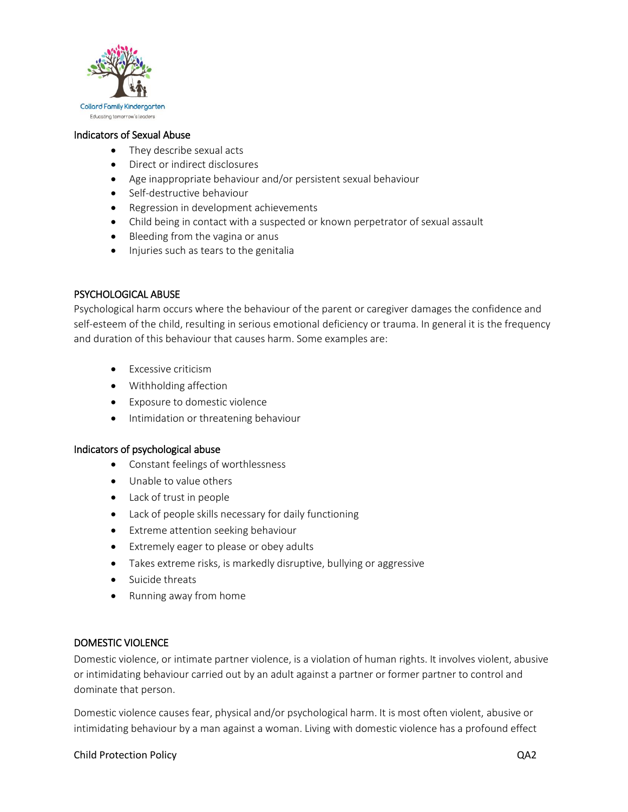

#### Indicators of Sexual Abuse

- They describe sexual acts
- Direct or indirect disclosures
- Age inappropriate behaviour and/or persistent sexual behaviour
- Self-destructive behaviour
- Regression in development achievements
- Child being in contact with a suspected or known perpetrator of sexual assault
- Bleeding from the vagina or anus
- Injuries such as tears to the genitalia

## PSYCHOLOGICAL ABUSE

Psychological harm occurs where the behaviour of the parent or caregiver damages the confidence and self-esteem of the child, resulting in serious emotional deficiency or trauma. In general it is the frequency and duration of this behaviour that causes harm. Some examples are:

- **Excessive criticism**
- Withholding affection
- Exposure to domestic violence
- **•** Intimidation or threatening behaviour

#### Indicators of psychological abuse

- Constant feelings of worthlessness
- Unable to value others
- Lack of trust in people
- Lack of people skills necessary for daily functioning
- Extreme attention seeking behaviour
- Extremely eager to please or obey adults
- Takes extreme risks, is markedly disruptive, bullying or aggressive
- Suicide threats
- Running away from home

#### DOMESTIC VIOLENCE

Domestic violence, or intimate partner violence, is a violation of human rights. It involves violent, abusive or intimidating behaviour carried out by an adult against a partner or former partner to control and dominate that person.

Domestic violence causes fear, physical and/or psychological harm. It is most often violent, abusive or intimidating behaviour by a man against a woman. Living with domestic violence has a profound effect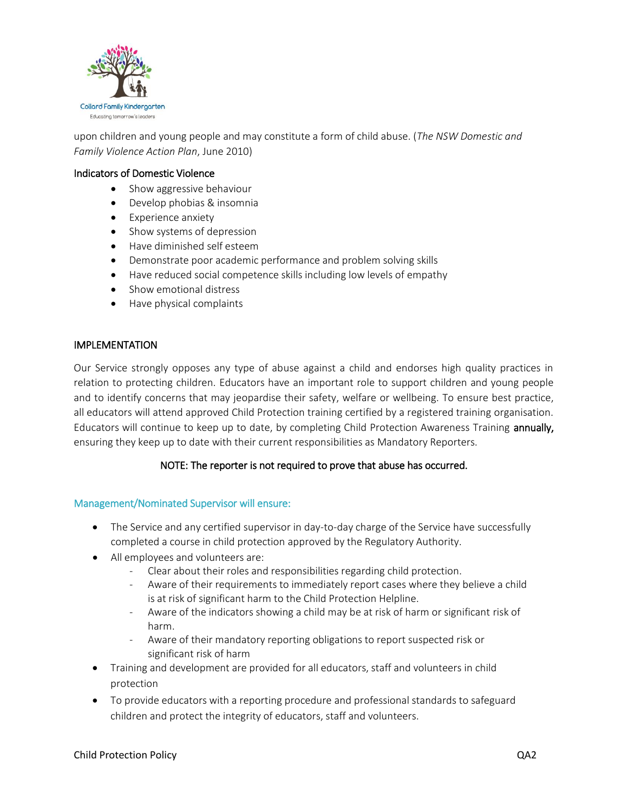

upon children and young people and may constitute a form of child abuse. (*The NSW Domestic and Family Violence Action Plan*, June 2010)

## Indicators of Domestic Violence

- Show aggressive behaviour
- Develop phobias & insomnia
- Experience anxiety
- Show systems of depression
- Have diminished self esteem
- Demonstrate poor academic performance and problem solving skills
- Have reduced social competence skills including low levels of empathy
- Show emotional distress
- Have physical complaints

## IMPLEMENTATION

Our Service strongly opposes any type of abuse against a child and endorses high quality practices in relation to protecting children. Educators have an important role to support children and young people and to identify concerns that may jeopardise their safety, welfare or wellbeing. To ensure best practice, all educators will attend approved Child Protection training certified by a registered training organisation. Educators will continue to keep up to date, by completing Child Protection Awareness Training annually, ensuring they keep up to date with their current responsibilities as Mandatory Reporters.

# NOTE: The reporter is not required to prove that abuse has occurred.

## Management/Nominated Supervisor will ensure:

- The Service and any certified supervisor in day-to-day charge of the Service have successfully completed a course in child protection approved by the Regulatory Authority.
- All employees and volunteers are:
	- Clear about their roles and responsibilities regarding child protection.
	- Aware of their requirements to immediately report cases where they believe a child is at risk of significant harm to the Child Protection Helpline.
	- Aware of the indicators showing a child may be at risk of harm or significant risk of harm.
	- Aware of their mandatory reporting obligations to report suspected risk or significant risk of harm
- Training and development are provided for all educators, staff and volunteers in child protection
- To provide educators with a reporting procedure and professional standards to safeguard children and protect the integrity of educators, staff and volunteers.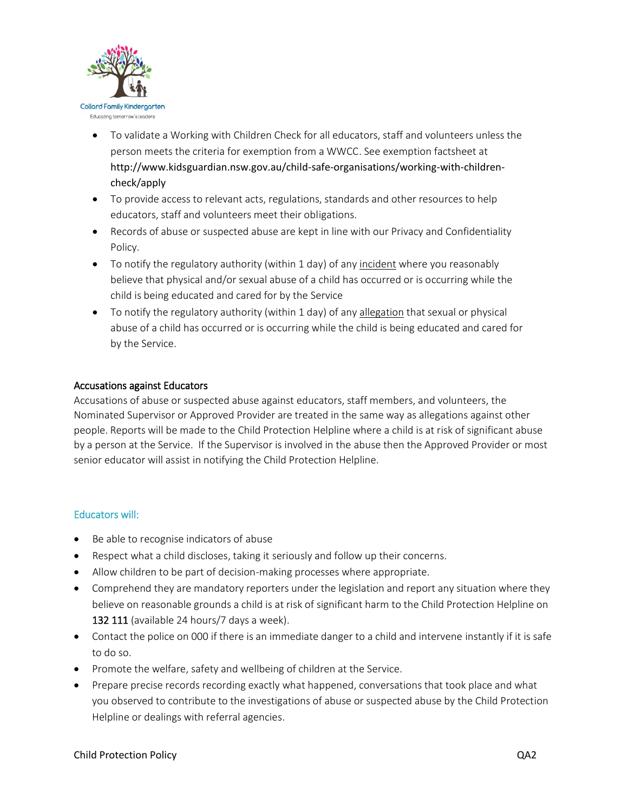

- To validate a Working with Children Check for all educators, staff and volunteers unless the person meets the criteria for exemption from a WWCC. See exemption factsheet at http://www.kidsguardian.nsw.gov.au/child-safe-organisations/working-with-childrencheck/apply
- To provide access to relevant acts, regulations, standards and other resources to help educators, staff and volunteers meet their obligations.
- Records of abuse or suspected abuse are kept in line with our Privacy and Confidentiality Policy.
- To notify the regulatory authority (within 1 day) of any incident where you reasonably believe that physical and/or sexual abuse of a child has occurred or is occurring while the child is being educated and cared for by the Service
- To notify the regulatory authority (within 1 day) of any allegation that sexual or physical abuse of a child has occurred or is occurring while the child is being educated and cared for by the Service.

## Accusations against Educators

Accusations of abuse or suspected abuse against educators, staff members, and volunteers, the Nominated Supervisor or Approved Provider are treated in the same way as allegations against other people. Reports will be made to the Child Protection Helpline where a child is at risk of significant abuse by a person at the Service. If the Supervisor is involved in the abuse then the Approved Provider or most senior educator will assist in notifying the Child Protection Helpline.

## Educators will:

- Be able to recognise indicators of abuse
- Respect what a child discloses, taking it seriously and follow up their concerns.
- Allow children to be part of decision-making processes where appropriate.
- Comprehend they are mandatory reporters under the legislation and report any situation where they believe on reasonable grounds a child is at risk of significant harm to the Child Protection Helpline on 132 111 (available 24 hours/7 days a week).
- Contact the police on 000 if there is an immediate danger to a child and intervene instantly if it is safe to do so.
- Promote the welfare, safety and wellbeing of children at the Service.
- Prepare precise records recording exactly what happened, conversations that took place and what you observed to contribute to the investigations of abuse or suspected abuse by the Child Protection Helpline or dealings with referral agencies.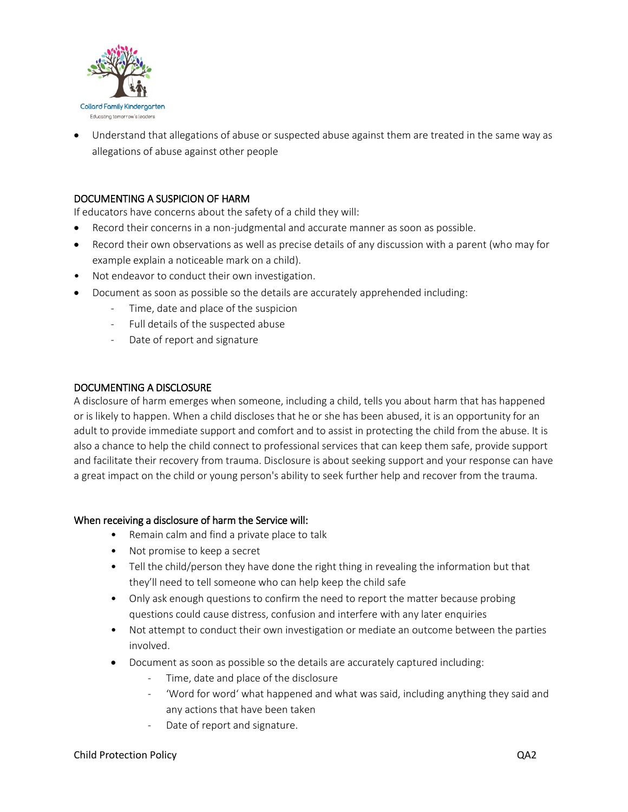

 Understand that allegations of abuse or suspected abuse against them are treated in the same way as allegations of abuse against other people

## DOCUMENTING A SUSPICION OF HARM

If educators have concerns about the safety of a child they will:

- Record their concerns in a non-judgmental and accurate manner as soon as possible.
- Record their own observations as well as precise details of any discussion with a parent (who may for example explain a noticeable mark on a child).
- Not endeavor to conduct their own investigation.
- Document as soon as possible so the details are accurately apprehended including:
	- Time, date and place of the suspicion
	- Full details of the suspected abuse
	- Date of report and signature

#### DOCUMENTING A DISCLOSURE

A disclosure of harm emerges when someone, including a child, tells you about harm that has happened or is likely to happen. When a child discloses that he or she has been abused, it is an opportunity for an adult to provide immediate support and comfort and to assist in protecting the child from the abuse. It is also a chance to help the child connect to professional services that can keep them safe, provide support and facilitate their recovery from trauma. Disclosure is about seeking support and your response can have a great impact on the child or young person's ability to seek further help and recover from the trauma.

#### When receiving a disclosure of harm the Service will:

- Remain calm and find a private place to talk
- Not promise to keep a secret
- Tell the child/person they have done the right thing in revealing the information but that they'll need to tell someone who can help keep the child safe
- Only ask enough questions to confirm the need to report the matter because probing questions could cause distress, confusion and interfere with any later enquiries
- Not attempt to conduct their own investigation or mediate an outcome between the parties involved.
- Document as soon as possible so the details are accurately captured including:
	- Time, date and place of the disclosure
	- 'Word for word' what happened and what was said, including anything they said and any actions that have been taken
	- Date of report and signature.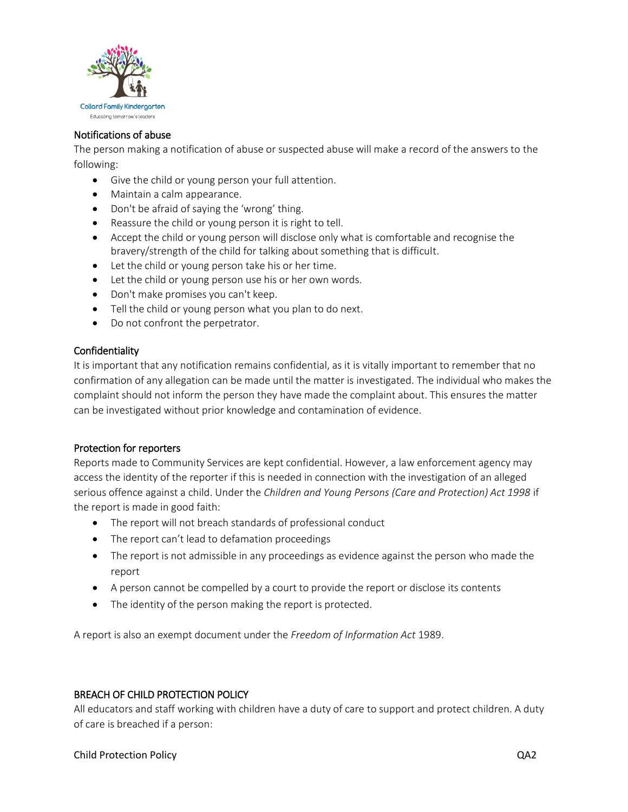

## Notifications of abuse

The person making a notification of abuse or suspected abuse will make a record of the answers to the following:

- Give the child or young person your full attention.
- Maintain a calm appearance.
- Don't be afraid of saying the 'wrong' thing.
- Reassure the child or young person it is right to tell.
- Accept the child or young person will disclose only what is comfortable and recognise the bravery/strength of the child for talking about something that is difficult.
- Let the child or young person take his or her time.
- Let the child or young person use his or her own words.
- Don't make promises you can't keep.
- Tell the child or young person what you plan to do next.
- Do not confront the perpetrator.

## Confidentiality

It is important that any notification remains confidential, as it is vitally important to remember that no confirmation of any allegation can be made until the matter is investigated. The individual who makes the complaint should not inform the person they have made the complaint about. This ensures the matter can be investigated without prior knowledge and contamination of evidence.

## Protection for reporters

Reports made to Community Services are kept confidential. However, a law enforcement agency may access the identity of the reporter if this is needed in connection with the investigation of an alleged serious offence against a child. Under the *Children and Young Persons (Care and Protection) Act 1998* if the report is made in good faith:

- The report will not breach standards of professional conduct
- The report can't lead to defamation proceedings
- The report is not admissible in any proceedings as evidence against the person who made the report
- A person cannot be compelled by a court to provide the report or disclose its contents
- The identity of the person making the report is protected.

A report is also an exempt document under the *Freedom of Information Act* 1989.

## BREACH OF CHILD PROTECTION POLICY

All educators and staff working with children have a duty of care to support and protect children. A duty of care is breached if a person: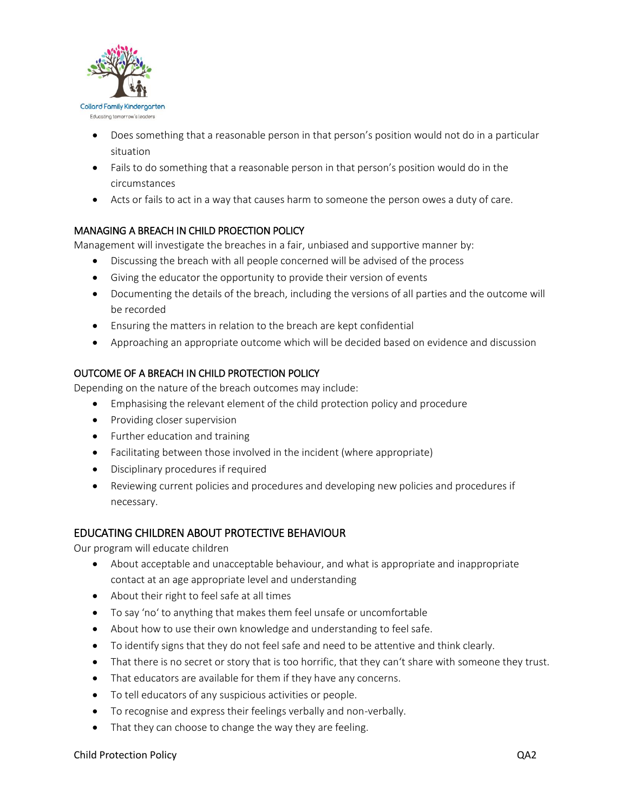

- Does something that a reasonable person in that person's position would not do in a particular situation
- Fails to do something that a reasonable person in that person's position would do in the circumstances
- Acts or fails to act in a way that causes harm to someone the person owes a duty of care.

## MANAGING A BREACH IN CHILD PROECTION POLICY

Management will investigate the breaches in a fair, unbiased and supportive manner by:

- Discussing the breach with all people concerned will be advised of the process
- Giving the educator the opportunity to provide their version of events
- Documenting the details of the breach, including the versions of all parties and the outcome will be recorded
- Ensuring the matters in relation to the breach are kept confidential
- Approaching an appropriate outcome which will be decided based on evidence and discussion

# OUTCOME OF A BREACH IN CHILD PROTECTION POLICY

Depending on the nature of the breach outcomes may include:

- Emphasising the relevant element of the child protection policy and procedure
- Providing closer supervision
- Further education and training
- Facilitating between those involved in the incident (where appropriate)
- Disciplinary procedures if required
- Reviewing current policies and procedures and developing new policies and procedures if necessary.

# EDUCATING CHILDREN ABOUT PROTECTIVE BEHAVIOUR

Our program will educate children

- About acceptable and unacceptable behaviour, and what is appropriate and inappropriate contact at an age appropriate level and understanding
- About their right to feel safe at all times
- To say 'no' to anything that makes them feel unsafe or uncomfortable
- About how to use their own knowledge and understanding to feel safe.
- To identify signs that they do not feel safe and need to be attentive and think clearly.
- That there is no secret or story that is too horrific, that they can't share with someone they trust.
- That educators are available for them if they have any concerns.
- To tell educators of any suspicious activities or people.
- To recognise and express their feelings verbally and non-verbally.
- That they can choose to change the way they are feeling.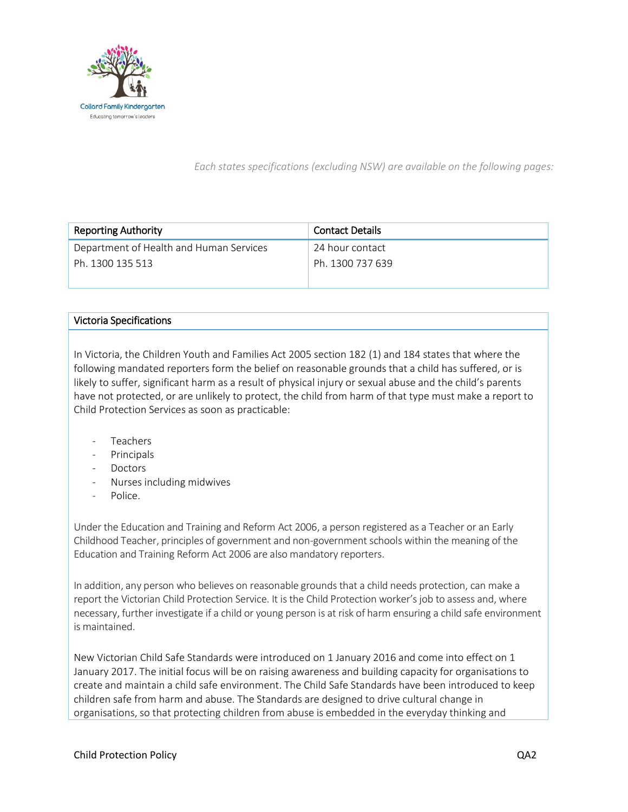

*Each states specifications (excluding NSW) are available on the following pages:*

| <b>Reporting Authority</b>              | <b>Contact Details</b> |  |
|-----------------------------------------|------------------------|--|
| Department of Health and Human Services | -24 hour contact       |  |
| Ph. 1300 135 513                        | Ph. 1300 737 639       |  |

## Victoria Specifications

In Victoria, the Children Youth and Families Act 2005 section 182 (1) and 184 states that where the following mandated reporters form the belief on reasonable grounds that a child has suffered, or is likely to suffer, significant harm as a result of physical injury or sexual abuse and the child's parents have not protected, or are unlikely to protect, the child from harm of that type must make a report to Child Protection Services as soon as practicable:

- **Teachers**
- Principals
- **Doctors**
- Nurses including midwives
- Police.

Under the Education and Training and Reform Act 2006, a person registered as a Teacher or an Early Childhood Teacher, principles of government and non-government schools within the meaning of the Education and Training Reform Act 2006 are also mandatory reporters.

In addition, any person who believes on reasonable grounds that a child needs protection, can make a report the Victorian Child Protection Service. It is the Child Protection worker's job to assess and, where necessary, further investigate if a child or young person is at risk of harm ensuring a child safe environment is maintained.

New Victorian Child Safe Standards were introduced on 1 January 2016 and come into effect on 1 January 2017. The initial focus will be on raising awareness and building capacity for organisations to create and maintain a child safe environment. The Child Safe Standards have been introduced to keep children safe from harm and abuse. The Standards are designed to drive cultural change in organisations, so that protecting children from abuse is embedded in the everyday thinking and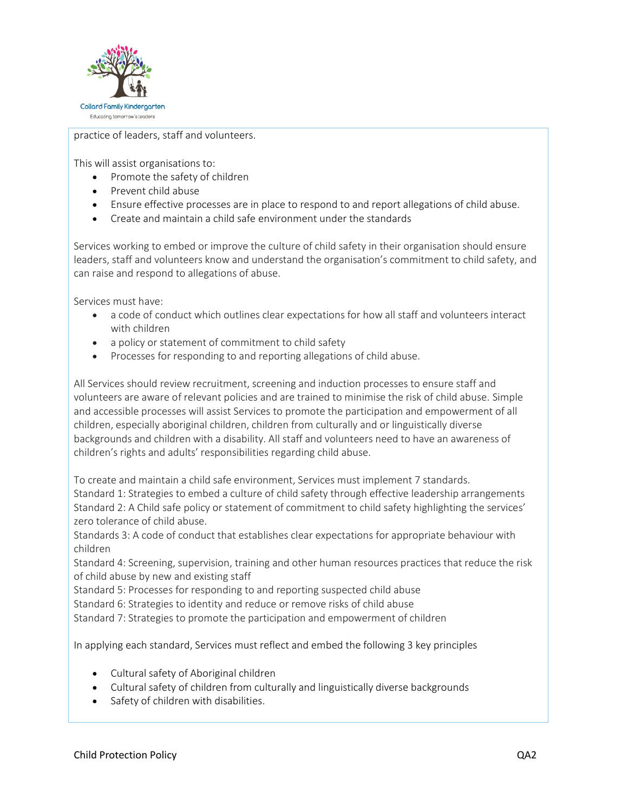

practice of leaders, staff and volunteers.

This will assist organisations to:

- Promote the safety of children
- Prevent child abuse
- Ensure effective processes are in place to respond to and report allegations of child abuse.
- Create and maintain a child safe environment under the standards

Services working to embed or improve the culture of child safety in their organisation should ensure leaders, staff and volunteers know and understand the organisation's commitment to child safety, and can raise and respond to allegations of abuse.

Services must have:

- a code of conduct which outlines clear expectations for how all staff and volunteers interact with children
- a policy or statement of commitment to child safety
- Processes for responding to and reporting allegations of child abuse.

All Services should review recruitment, screening and induction processes to ensure staff and volunteers are aware of relevant policies and are trained to minimise the risk of child abuse. Simple and accessible processes will assist Services to promote the participation and empowerment of all children, especially aboriginal children, children from culturally and or linguistically diverse backgrounds and children with a disability. All staff and volunteers need to have an awareness of children's rights and adults' responsibilities regarding child abuse.

To create and maintain a child safe environment, Services must implement 7 standards. Standard 1: Strategies to embed a culture of child safety through effective leadership arrangements Standard 2: A Child safe policy or statement of commitment to child safety highlighting the services' zero tolerance of child abuse.

Standards 3: A code of conduct that establishes clear expectations for appropriate behaviour with children

Standard 4: Screening, supervision, training and other human resources practices that reduce the risk of child abuse by new and existing staff

Standard 5: Processes for responding to and reporting suspected child abuse

Standard 6: Strategies to identity and reduce or remove risks of child abuse

Standard 7: Strategies to promote the participation and empowerment of children

In applying each standard, Services must reflect and embed the following 3 key principles

- [Cultural safety of Aboriginal children](https://ccyp.vic.gov.au/child-safety/being-a-child-safe-organisation/the-child-safe-standards/child-safe-principles/#TOC-2)
- [Cultural safety of children from culturally and linguistically diverse backgrounds](https://ccyp.vic.gov.au/child-safety/being-a-child-safe-organisation/the-child-safe-standards/child-safe-principles/#TOC-3)
- [Safety of children with disabilities.](https://ccyp.vic.gov.au/child-safety/being-a-child-safe-organisation/the-child-safe-standards/child-safe-principles/#TOC-4)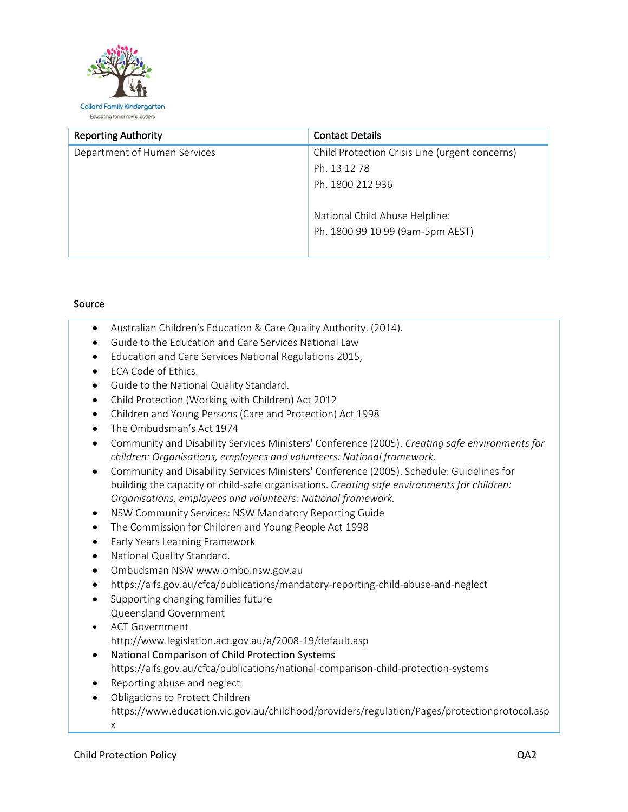

| <b>Reporting Authority</b>   | <b>Contact Details</b>                         |  |
|------------------------------|------------------------------------------------|--|
| Department of Human Services | Child Protection Crisis Line (urgent concerns) |  |
|                              | Ph. 13 12 78                                   |  |
|                              | Ph. 1800 212 936                               |  |
|                              |                                                |  |
|                              | National Child Abuse Helpline:                 |  |
|                              | Ph. 1800 99 10 99 (9am-5pm AEST)               |  |
|                              |                                                |  |

## Source

- Australian Children's Education & Care Quality Authority. (2014).
- Guide to the Education and Care Services National Law
- Education and Care Services National Regulations 2015,
- ECA Code of Ethics.
- Guide to the National Quality Standard.
- Child Protection (Working with Children) Act 2012
- Children and Young Persons (Care and Protection) Act 1998
- The Ombudsman's Act 1974
- Community and Disability Services Ministers' Conference (2005). *Creating safe environments for children: Organisations, employees and volunteers: National framework.*
- Community and Disability Services Ministers' Conference (2005). Schedule: Guidelines for building the capacity of child-safe organisations. *Creating safe environments for children: Organisations, employees and volunteers: National framework.*
- NSW Community Services: NSW Mandatory Reporting Guide
- The Commission for Children and Young People Act 1998
- **•** Early Years Learning Framework
- National Quality Standard.
- Ombudsman NS[W www.ombo.nsw.gov.au](http://www.ombo.nsw.gov.au/)
- https://aifs.gov.au/cfca/publications/mandatory-reporting-child-abuse-and-neglect
- Supporting changing families future Queensland Government
- ACT Government <http://www.legislation.act.gov.au/a/2008-19/default.asp>
- National Comparison of Child Protection Systems <https://aifs.gov.au/cfca/publications/national-comparison-child-protection-systems>
- Reporting abuse and neglect
- Obligations to Protect Children https://www.education.vic.gov.au/childhood/providers/regulation/Pages/protectionprotocol.asp x